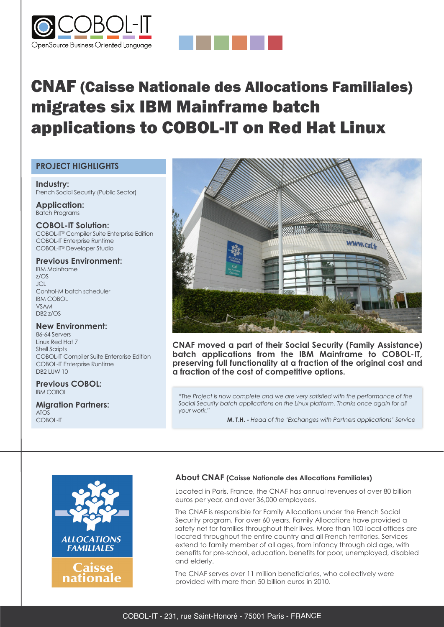



## **PROJECT HIGHLIGHTS**

**Industry:** French Social Security (Public Sector)

**Application:** Batch Programs

**COBOL-IT Solution:** COBOL-IT® Compiler Suite Enterprise Edition COBOL-IT Enterprise Runtime COBOL-IT® Developer Studio

#### **Previous Environment:**

IBM Mainframe z/OS  $|C|$ Control-M batch scheduler IBM COBOL VSAM DB2 z/OS

**New Environment:** 86-64 Servers

Linux Red Hat 7 Shell Scripts COBOL-IT Compiler Suite Enterprise Edition COBOL-IT Enterprise Runtime DB2 LUW 10

**Previous COBOL:** IBM COBOL

#### **Migration Partners:** ATOS COBOL-IT



**CNAF moved a part of their Social Security (Family Assistance) batch applications from the IBM Mainframe to COBOL-IT, preserving full functionality at a fraction of the original cost and a fraction of the cost of competitive options.**

*"The Project is now complete and we are very satisfied with the performance of the Social Security batch applications on the Linux platform. Thanks once again for all your work."*

**M. T.H. -** *Head of the 'Exchanges with Partners applications' Service*



### **About CNAF (Caisse Nationale des Allocations Familiales)**

Located in Paris, France, the CNAF has annual revenues of over 80 billion euros per year, and over 36,000 employees.

The CNAF is responsible for Family Allocations under the French Social Security program. For over 60 years, Family Allocations have provided a safety net for families throughout their lives. More than 100 local offices are located throughout the entire country and all French territories. Services extend to family member of all ages, from infancy through old age, with benefits for pre-school, education, benefits for poor, unemployed, disabled and elderly.

The CNAF serves over 11 million beneficiaries, who collectively were provided with more than 50 billion euros in 2010.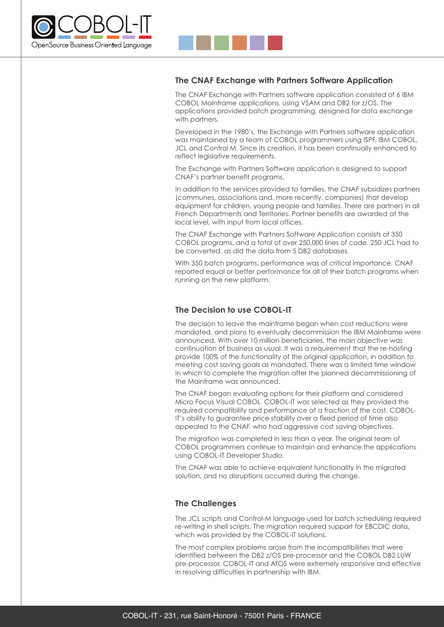

# **The CNAF Exchange with Partners Software Application**

The CNAF Exchange with Partners software application consisted of 6 IBM COBOL Mainframe applications, using VSAM and DB2 for z/OS. The applications provided batch programming, designed for data exchange with partners.

Developed in the 1980's, the Exchange with Partners software application was maintained by a team of COBOL programmers using ISPF, IBM COBOL, JCL and Control M. Since its creation, it has been continually enhanced to reflect legislative requirements.

The Exchange with Partners Software application is designed to support CNAF's partner benefit programs.

In addition to the services provided to families, the CNAF subsidizes partners (communes, associations and, more recently, companies) that develop equipment for children, young people and families. There are partners in all French Departments and Territories. Partner benefits are awarded at the local level, with input from local offices.

The CNAF Exchange with Partners Software Application consists of 350 COBOL programs, and a total of over 250,000 lines of code. 250 JCL had to be converted, as did the data from 5 DB2 databases.

With 350 batch programs, performance was of critical importance. CNAF reported equal or better performance for all of their batch programs when running on the new platform.

## **The Decision to use COBOL-IT**

The decision to leave the mainframe began when cost reductions were mandated, and plans to eventually decommission the IBM Mainframe were announced. With over 10 million beneficiaries, the main objective was continuation of business as usual. It was a requirement that the re-hosting provide 100% of the functionality of the original application, in addition to meeting cost saving goals as mandated. There was a limited time window in which to complete the migration after the planned decommissioning of the Mainframe was announced.

The CNAF began evaluating options for their platform and considered Micro Focus Visual COBOL. COBOL-IT was selected as they provided the required compatibility and performance at a fraction of the cost. COBOL-IT's ability to guarantee price stability over a fixed period of time also appealed to the CNAF, who had aggressive cost saving objectives.

The migration was completed in less than a year. The original team of COBOL programmers continue to maintain and enhance the applications using COBOL-IT Developer Studio.

The CNAF was able to achieve equivalent functionality in the migrated solution, and no disruptions occurred during the change.

## **The Challenges**

The JCL scripts and Control-M language used for batch scheduling required re-writing in shell scripts. The migration required support for EBCDIC data, which was provided by the COBOL-IT solutions.

The most complex problems arose from the incompatibilities that were identified between the DB2 z/OS pre-processor and the COBOL DB2 LUW pre-processor. COBOL-IT and ATOS were extremely responsive and effective in resolving difficulties in partnership with IBM.